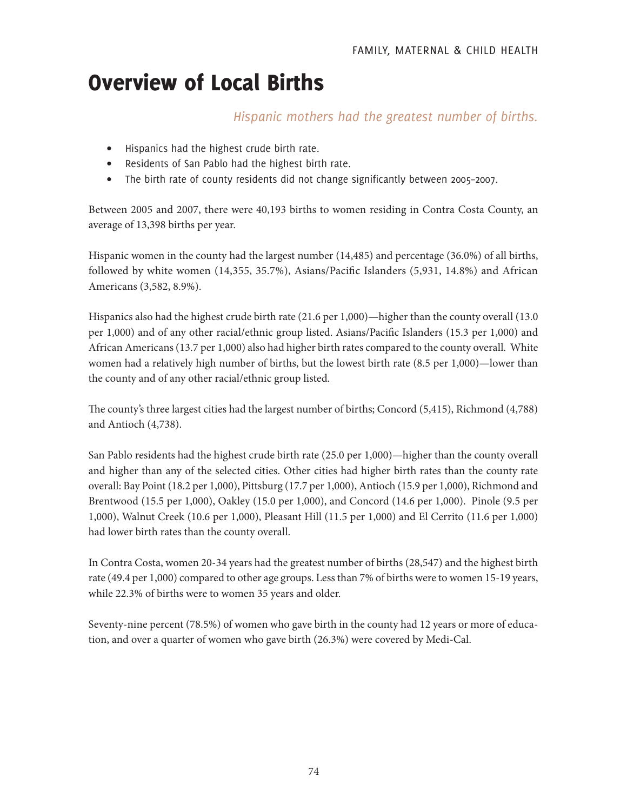# Overview of Local Births

## *Hispanic mothers had the greatest number of births.*

- Hispanics had the highest crude birth rate.
- Residents of San Pablo had the highest birth rate.
- The birth rate of county residents did not change significantly between 2005–2007.

Between 2005 and 2007, there were 40,193 births to women residing in Contra Costa County, an average of 13,398 births per year.

Hispanic women in the county had the largest number (14,485) and percentage (36.0%) of all births, followed by white women (14,355, 35.7%), Asians/Pacific Islanders (5,931, 14.8%) and African Americans (3,582, 8.9%).

Hispanics also had the highest crude birth rate (21.6 per 1,000)—higher than the county overall (13.0 per 1,000) and of any other racial/ethnic group listed. Asians/Pacific Islanders (15.3 per 1,000) and African Americans (13.7 per 1,000) also had higher birth rates compared to the county overall. White women had a relatively high number of births, but the lowest birth rate (8.5 per 1,000)—lower than the county and of any other racial/ethnic group listed.

The county's three largest cities had the largest number of births; Concord (5,415), Richmond (4,788) and Antioch (4,738).

San Pablo residents had the highest crude birth rate (25.0 per 1,000)—higher than the county overall and higher than any of the selected cities. Other cities had higher birth rates than the county rate overall: Bay Point (18.2 per 1,000), Pittsburg (17.7 per 1,000), Antioch (15.9 per 1,000), Richmond and Brentwood (15.5 per 1,000), Oakley (15.0 per 1,000), and Concord (14.6 per 1,000). Pinole (9.5 per 1,000), Walnut Creek (10.6 per 1,000), Pleasant Hill (11.5 per 1,000) and El Cerrito (11.6 per 1,000) had lower birth rates than the county overall.

In Contra Costa, women 20-34 years had the greatest number of births (28,547) and the highest birth rate (49.4 per 1,000) compared to other age groups. Less than 7% of births were to women 15-19 years, while 22.3% of births were to women 35 years and older.

Seventy-nine percent (78.5%) of women who gave birth in the county had 12 years or more of education, and over a quarter of women who gave birth (26.3%) were covered by Medi-Cal.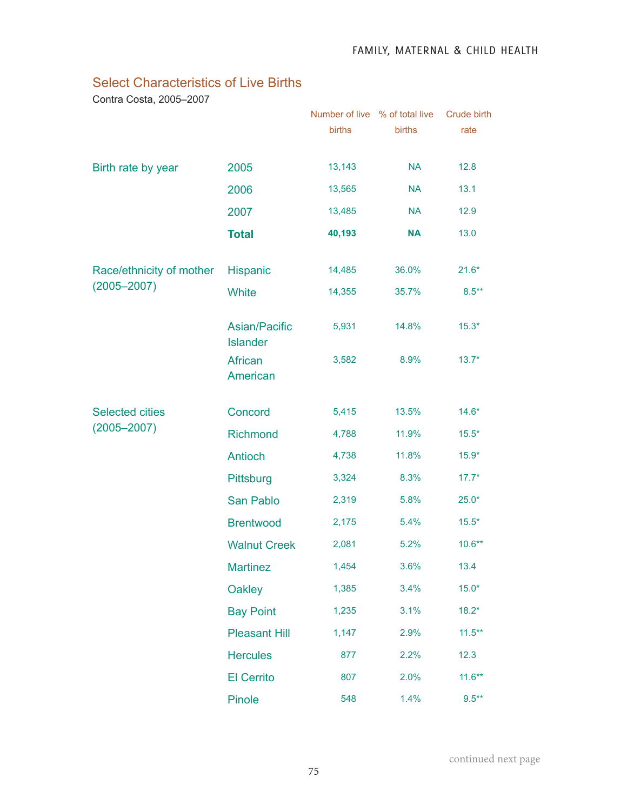### Select Characteristics of Live Births

Contra Costa, 2005–2007

|                                             |                                  | Number of live % of total live<br>births | births    | Crude birth<br>rate |
|---------------------------------------------|----------------------------------|------------------------------------------|-----------|---------------------|
| Birth rate by year                          | 2005                             | 13,143                                   | <b>NA</b> | 12.8                |
|                                             | 2006                             | 13,565                                   | <b>NA</b> | 13.1                |
|                                             | 2007                             | 13,485                                   | <b>NA</b> | 12.9                |
|                                             | <b>Total</b>                     | 40,193                                   | <b>NA</b> | 13.0                |
| Race/ethnicity of mother<br>$(2005 - 2007)$ | Hispanic                         | 14,485                                   | 36.0%     | $21.6*$             |
|                                             | <b>White</b>                     | 14,355                                   | 35.7%     | $8.5***$            |
|                                             | Asian/Pacific<br><b>Islander</b> | 5,931                                    | 14.8%     | $15.3*$             |
|                                             | African<br>American              | 3,582                                    | 8.9%      | $13.7*$             |
| <b>Selected cities</b><br>$(2005 - 2007)$   | Concord                          | 5,415                                    | 13.5%     | $14.6*$             |
|                                             | Richmond                         | 4,788                                    | 11.9%     | $15.5*$             |
|                                             | <b>Antioch</b>                   | 4,738                                    | 11.8%     | $15.9*$             |
|                                             | Pittsburg                        | 3,324                                    | 8.3%      | $17.7*$             |
|                                             | San Pablo                        | 2,319                                    | 5.8%      | $25.0*$             |
|                                             | <b>Brentwood</b>                 | 2,175                                    | 5.4%      | $15.5*$             |
|                                             | <b>Walnut Creek</b>              | 2,081                                    | 5.2%      | $10.6***$           |
|                                             | <b>Martinez</b>                  | 1,454                                    | 3.6%      | 13.4                |
|                                             | <b>Oakley</b>                    | 1,385                                    | 3.4%      | $15.0*$             |
|                                             | <b>Bay Point</b>                 | 1,235                                    | 3.1%      | $18.2*$             |
|                                             | <b>Pleasant Hill</b>             | 1,147                                    | 2.9%      | $11.5***$           |
|                                             | <b>Hercules</b>                  | 877                                      | 2.2%      | 12.3                |
|                                             | <b>El Cerrito</b>                | 807                                      | 2.0%      | $11.6***$           |
|                                             | Pinole                           | 548                                      | 1.4%      | $9.5***$            |